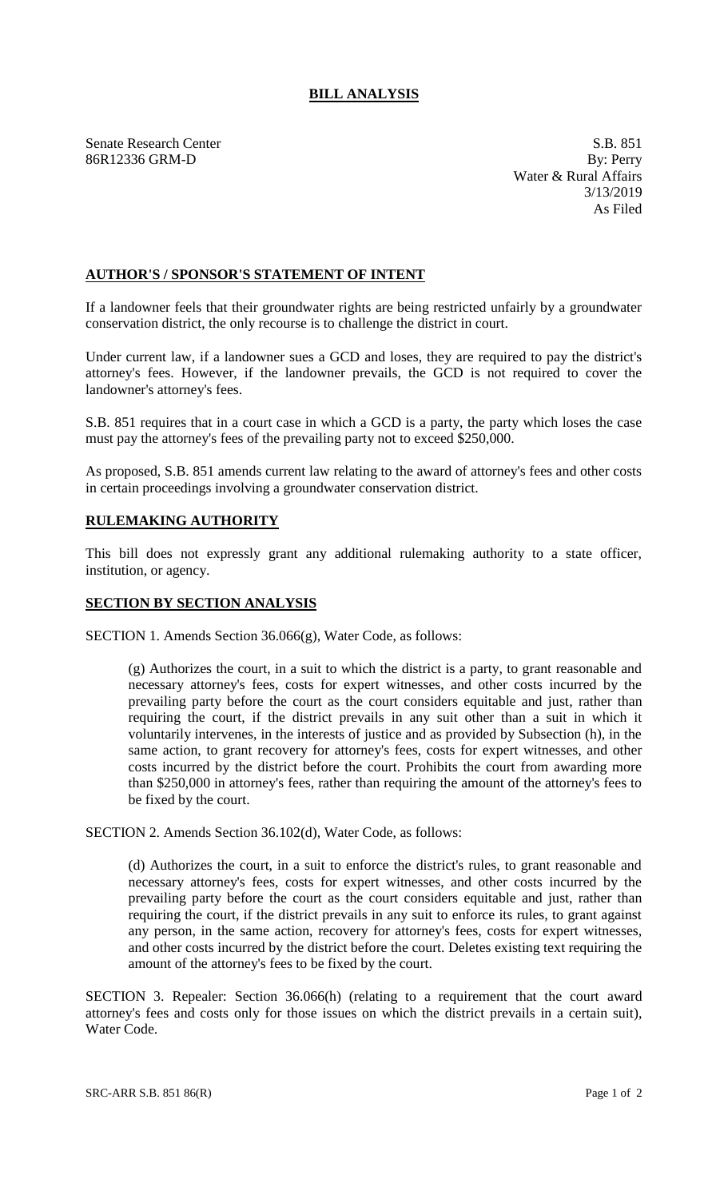## **BILL ANALYSIS**

Senate Research Center S.B. 851 86R12336 GRM-D By: Perry

Water & Rural Affairs 3/13/2019 As Filed

## **AUTHOR'S / SPONSOR'S STATEMENT OF INTENT**

If a landowner feels that their groundwater rights are being restricted unfairly by a groundwater conservation district, the only recourse is to challenge the district in court.

Under current law, if a landowner sues a GCD and loses, they are required to pay the district's attorney's fees. However, if the landowner prevails, the GCD is not required to cover the landowner's attorney's fees.

S.B. 851 requires that in a court case in which a GCD is a party, the party which loses the case must pay the attorney's fees of the prevailing party not to exceed \$250,000.

As proposed, S.B. 851 amends current law relating to the award of attorney's fees and other costs in certain proceedings involving a groundwater conservation district.

## **RULEMAKING AUTHORITY**

This bill does not expressly grant any additional rulemaking authority to a state officer, institution, or agency.

## **SECTION BY SECTION ANALYSIS**

SECTION 1. Amends Section 36.066(g), Water Code, as follows:

(g) Authorizes the court, in a suit to which the district is a party, to grant reasonable and necessary attorney's fees, costs for expert witnesses, and other costs incurred by the prevailing party before the court as the court considers equitable and just, rather than requiring the court, if the district prevails in any suit other than a suit in which it voluntarily intervenes, in the interests of justice and as provided by Subsection (h), in the same action, to grant recovery for attorney's fees, costs for expert witnesses, and other costs incurred by the district before the court. Prohibits the court from awarding more than \$250,000 in attorney's fees, rather than requiring the amount of the attorney's fees to be fixed by the court.

SECTION 2. Amends Section 36.102(d), Water Code, as follows:

(d) Authorizes the court, in a suit to enforce the district's rules, to grant reasonable and necessary attorney's fees, costs for expert witnesses, and other costs incurred by the prevailing party before the court as the court considers equitable and just, rather than requiring the court, if the district prevails in any suit to enforce its rules, to grant against any person, in the same action, recovery for attorney's fees, costs for expert witnesses, and other costs incurred by the district before the court. Deletes existing text requiring the amount of the attorney's fees to be fixed by the court.

SECTION 3. Repealer: Section 36.066(h) (relating to a requirement that the court award attorney's fees and costs only for those issues on which the district prevails in a certain suit), Water Code.